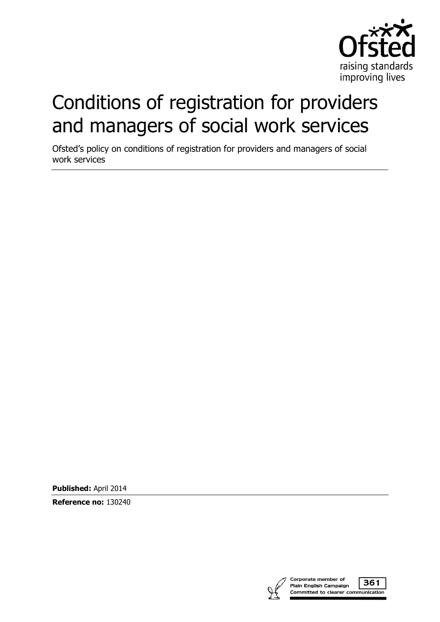

# Conditions of registration for providers and managers of social work services

Ofsted's policy on conditions of registration for providers and managers of social work services

**Published:** April 2014

**Reference no:** 130240

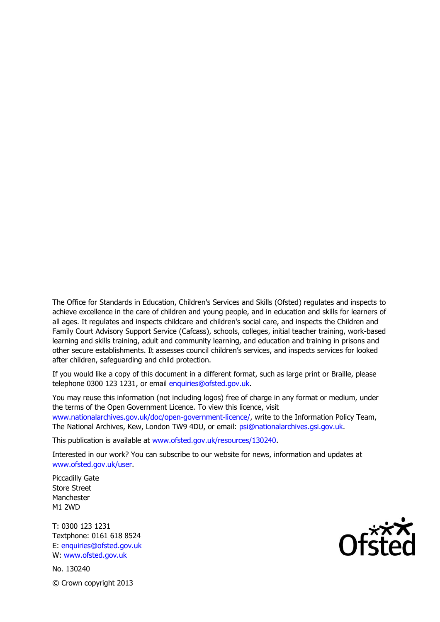The Office for Standards in Education, Children's Services and Skills (Ofsted) regulates and inspects to achieve excellence in the care of children and young people, and in education and skills for learners of all ages. It regulates and inspects childcare and children's social care, and inspects the Children and Family Court Advisory Support Service (Cafcass), schools, colleges, initial teacher training, work-based learning and skills training, adult and community learning, and education and training in prisons and other secure establishments. It assesses council children's services, and inspects services for looked after children, safeguarding and child protection.

If you would like a copy of this document in a different format, such as large print or Braille, please telephone 0300 123 1231, or email enquiries@ofsted.gov.uk.

You may reuse this information (not including logos) free of charge in any format or medium, under the terms of the Open Government Licence. To view this licence, visit www.nationalarchives.gov.uk/doc/open-government-licence/, write to the Information Policy Team, The National Archives, Kew, London TW9 4DU, or email: psi@nationalarchives.gsi.gov.uk.

This publication is available at www.ofsted.gov.uk/resources/130240.

Interested in our work? You can subscribe to our website for news, information and updates at www.ofsted.gov.uk/user.

Piccadilly Gate Store Street Manchester M1 2WD

T: 0300 123 1231 Textphone: 0161 618 8524 E: enquiries@ofsted.gov.uk W: www.ofsted.gov.uk

No. 130240 © Crown copyright 2013

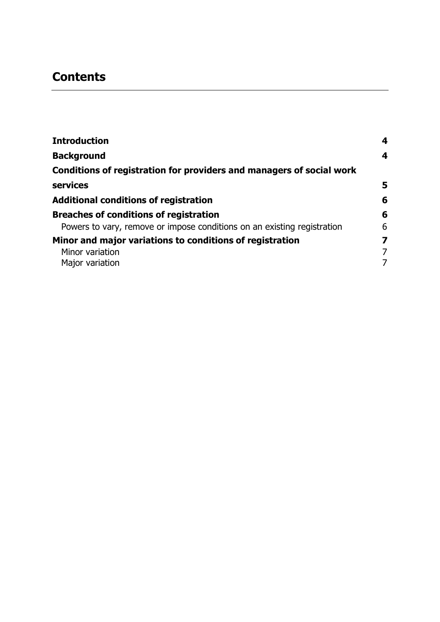## **Contents**

| <b>Introduction</b>                                                     | 4 |
|-------------------------------------------------------------------------|---|
| <b>Background</b>                                                       | 4 |
| Conditions of registration for providers and managers of social work    |   |
| services                                                                | 5 |
| <b>Additional conditions of registration</b>                            | 6 |
| <b>Breaches of conditions of registration</b>                           | 6 |
| Powers to vary, remove or impose conditions on an existing registration | 6 |
| Minor and major variations to conditions of registration                | 7 |
| Minor variation                                                         | 7 |
| Major variation                                                         | 7 |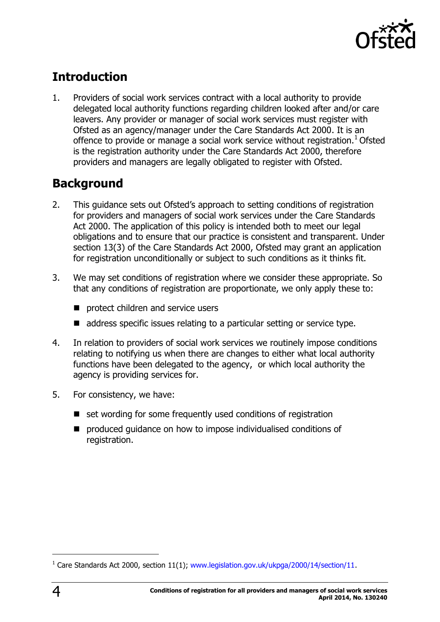

# <span id="page-3-0"></span>**Introduction**

1. Providers of social work services contract with a local authority to provide delegated local authority functions regarding children looked after and/or care leavers. Any provider or manager of social work services must register with Ofsted as an agency/manager under the Care Standards Act 2000. It is an offence to provide or manage a social work service without registration.<sup>1</sup> Ofsted is the registration authority under the Care Standards Act 2000, therefore providers and managers are legally obligated to register with Ofsted.

#### <span id="page-3-1"></span>**Background**

- 2. This guidance sets out Ofsted's approach to setting conditions of registration for providers and managers of social work services under the Care Standards Act 2000. The application of this policy is intended both to meet our legal obligations and to ensure that our practice is consistent and transparent. Under section 13(3) of the Care Standards Act 2000, Ofsted may grant an application for registration unconditionally or subject to such conditions as it thinks fit.
- 3. We may set conditions of registration where we consider these appropriate. So that any conditions of registration are proportionate, we only apply these to:
	- **P** protect children and service users
	- address specific issues relating to a particular setting or service type.
- 4. In relation to providers of social work services we routinely impose conditions relating to notifying us when there are changes to either what local authority functions have been delegated to the agency, or which local authority the agency is providing services for.
- 5. For consistency, we have:
	- set wording for some frequently used conditions of registration
	- **P** produced quidance on how to impose individualised conditions of registration.

j

<sup>&</sup>lt;sup>1</sup> Care Standards Act 2000, section 11(1); [www.legislation.gov.uk/ukpga/2000/14/section/11.](http://www.legislation.gov.uk/ukpga/2000/14/section/11)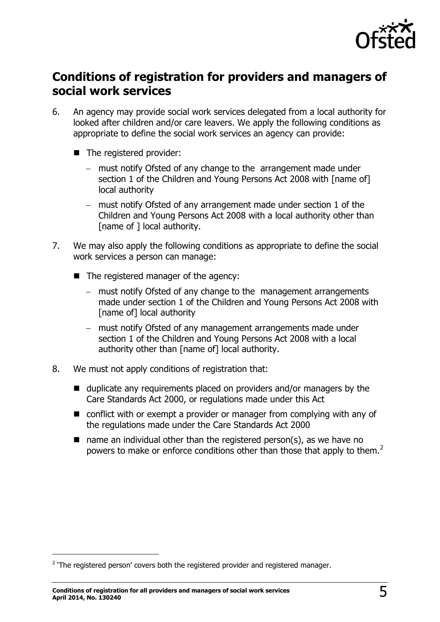

#### <span id="page-4-0"></span>**Conditions of registration for providers and managers of social work services**

- 6. An agency may provide social work services delegated from a local authority for looked after children and/or care leavers. We apply the following conditions as appropriate to define the social work services an agency can provide:
	- The registered provider:
		- must notify Ofsted of any change to the arrangement made under section 1 of the Children and Young Persons Act 2008 with [name of] local authority
		- must notify Ofsted of any arrangement made under section 1 of the Children and Young Persons Act 2008 with a local authority other than [name of ] local authority.
- 7. We may also apply the following conditions as appropriate to define the social work services a person can manage:
	- The registered manager of the agency:
		- must notify Ofsted of any change to the management arrangements made under section 1 of the Children and Young Persons Act 2008 with [name of] local authority
		- must notify Ofsted of any management arrangements made under section 1 of the Children and Young Persons Act 2008 with a local authority other than [name of] local authority.
- 8. We must not apply conditions of registration that:
	- $\blacksquare$  duplicate any requirements placed on providers and/or managers by the Care Standards Act 2000, or regulations made under this Act
	- conflict with or exempt a provider or manager from complying with any of the regulations made under the Care Standards Act 2000
	- $\blacksquare$  name an individual other than the registered person(s), as we have no powers to make or enforce conditions other than those that apply to them.<sup>2</sup>

j

 $2$  'The registered person' covers both the registered provider and registered manager.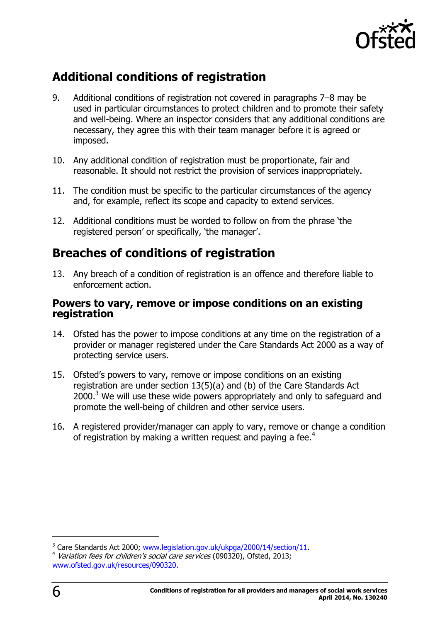

### <span id="page-5-0"></span>**Additional conditions of registration**

- 9. Additional conditions of registration not covered in paragraphs 7–8 may be used in particular circumstances to protect children and to promote their safety and well-being. Where an inspector considers that any additional conditions are necessary, they agree this with their team manager before it is agreed or imposed.
- 10. Any additional condition of registration must be proportionate, fair and reasonable. It should not restrict the provision of services inappropriately.
- 11. The condition must be specific to the particular circumstances of the agency and, for example, reflect its scope and capacity to extend services.
- 12. Additional conditions must be worded to follow on from the phrase 'the registered person' or specifically, 'the manager'.

#### <span id="page-5-1"></span>**Breaches of conditions of registration**

13. Any breach of a condition of registration is an offence and therefore liable to enforcement action.

#### <span id="page-5-2"></span>**Powers to vary, remove or impose conditions on an existing registration**

- 14. Ofsted has the power to impose conditions at any time on the registration of a provider or manager registered under the Care Standards Act 2000 as a way of protecting service users.
- 15. Ofsted's powers to vary, remove or impose conditions on an existing registration are under section 13(5)(a) and (b) of the Care Standards Act  $2000<sup>3</sup>$  We will use these wide powers appropriately and only to safeguard and promote the well-being of children and other service users.
- 16. A registered provider/manager can apply to vary, remove or change a condition of registration by making a written request and paying a fee.<sup>4</sup>

-

<sup>&</sup>lt;sup>3</sup> Care Standards Act 2000; [www.legislation.gov.uk/ukpga/2000/14/section/11.](http://www.legislation.gov.uk/ukpga/2000/14/section/11)

<sup>&</sup>lt;sup>4</sup> Variation fees for children's social care services (090320), Ofsted, 2013; [www.ofsted.gov.uk/resources/090320.](http://www.ofsted.gov.uk/resources/090320)